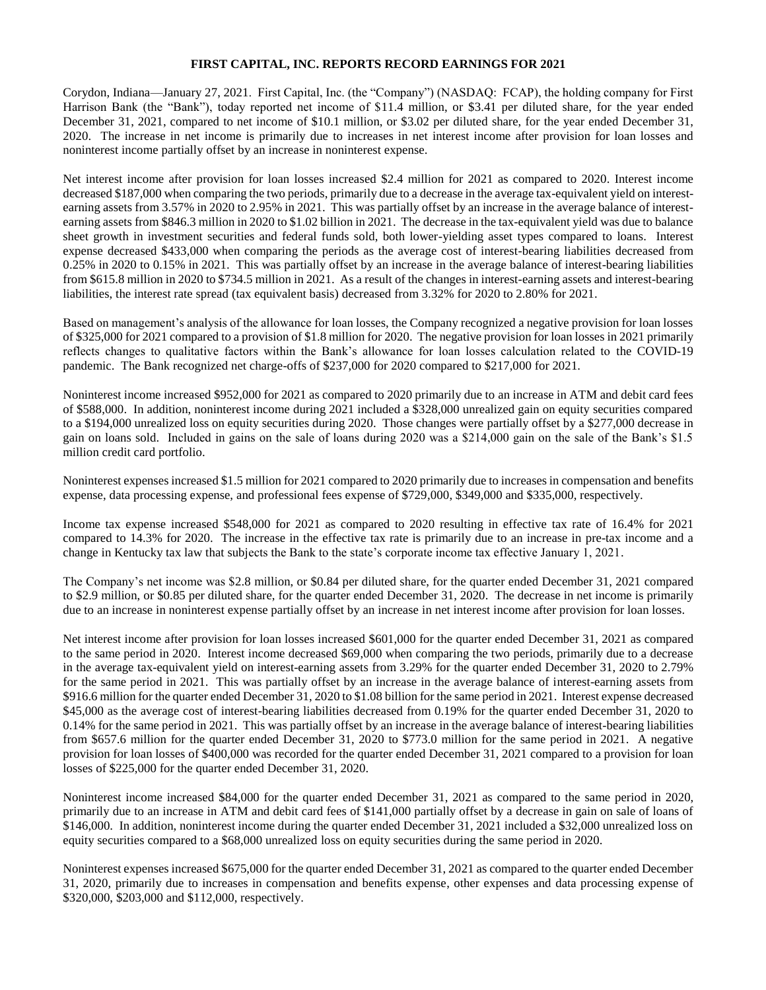## **FIRST CAPITAL, INC. REPORTS RECORD EARNINGS FOR 2021**

Corydon, Indiana—January 27, 2021. First Capital, Inc. (the "Company") (NASDAQ: FCAP), the holding company for First Harrison Bank (the "Bank"), today reported net income of \$11.4 million, or \$3.41 per diluted share, for the year ended December 31, 2021, compared to net income of \$10.1 million, or \$3.02 per diluted share, for the year ended December 31, 2020. The increase in net income is primarily due to increases in net interest income after provision for loan losses and noninterest income partially offset by an increase in noninterest expense.

Net interest income after provision for loan losses increased \$2.4 million for 2021 as compared to 2020. Interest income decreased \$187,000 when comparing the two periods, primarily due to a decrease in the average tax-equivalent yield on interestearning assets from 3.57% in 2020 to 2.95% in 2021. This was partially offset by an increase in the average balance of interestearning assets from \$846.3 million in 2020 to \$1.02 billion in 2021. The decrease in the tax-equivalent yield was due to balance sheet growth in investment securities and federal funds sold, both lower-yielding asset types compared to loans. Interest expense decreased \$433,000 when comparing the periods as the average cost of interest-bearing liabilities decreased from 0.25% in 2020 to 0.15% in 2021. This was partially offset by an increase in the average balance of interest-bearing liabilities from \$615.8 million in 2020 to \$734.5 million in 2021. As a result of the changes in interest-earning assets and interest-bearing liabilities, the interest rate spread (tax equivalent basis) decreased from 3.32% for 2020 to 2.80% for 2021.

Based on management's analysis of the allowance for loan losses, the Company recognized a negative provision for loan losses of \$325,000 for 2021 compared to a provision of \$1.8 million for 2020. The negative provision for loan losses in 2021 primarily reflects changes to qualitative factors within the Bank's allowance for loan losses calculation related to the COVID-19 pandemic. The Bank recognized net charge-offs of \$237,000 for 2020 compared to \$217,000 for 2021.

Noninterest income increased \$952,000 for 2021 as compared to 2020 primarily due to an increase in ATM and debit card fees of \$588,000. In addition, noninterest income during 2021 included a \$328,000 unrealized gain on equity securities compared to a \$194,000 unrealized loss on equity securities during 2020. Those changes were partially offset by a \$277,000 decrease in gain on loans sold. Included in gains on the sale of loans during 2020 was a \$214,000 gain on the sale of the Bank's \$1.5 million credit card portfolio.

Noninterest expenses increased \$1.5 million for 2021 compared to 2020 primarily due to increases in compensation and benefits expense, data processing expense, and professional fees expense of \$729,000, \$349,000 and \$335,000, respectively.

Income tax expense increased \$548,000 for 2021 as compared to 2020 resulting in effective tax rate of 16.4% for 2021 compared to 14.3% for 2020. The increase in the effective tax rate is primarily due to an increase in pre-tax income and a change in Kentucky tax law that subjects the Bank to the state's corporate income tax effective January 1, 2021.

The Company's net income was \$2.8 million, or \$0.84 per diluted share, for the quarter ended December 31, 2021 compared to \$2.9 million, or \$0.85 per diluted share, for the quarter ended December 31, 2020. The decrease in net income is primarily due to an increase in noninterest expense partially offset by an increase in net interest income after provision for loan losses.

Net interest income after provision for loan losses increased \$601,000 for the quarter ended December 31, 2021 as compared to the same period in 2020. Interest income decreased \$69,000 when comparing the two periods, primarily due to a decrease in the average tax-equivalent yield on interest-earning assets from 3.29% for the quarter ended December 31, 2020 to 2.79% for the same period in 2021. This was partially offset by an increase in the average balance of interest-earning assets from \$916.6 million for the quarter ended December 31, 2020 to \$1.08 billion for the same period in 2021. Interest expense decreased \$45,000 as the average cost of interest-bearing liabilities decreased from 0.19% for the quarter ended December 31, 2020 to 0.14% for the same period in 2021. This was partially offset by an increase in the average balance of interest-bearing liabilities from \$657.6 million for the quarter ended December 31, 2020 to \$773.0 million for the same period in 2021. A negative provision for loan losses of \$400,000 was recorded for the quarter ended December 31, 2021 compared to a provision for loan losses of \$225,000 for the quarter ended December 31, 2020.

Noninterest income increased \$84,000 for the quarter ended December 31, 2021 as compared to the same period in 2020, primarily due to an increase in ATM and debit card fees of \$141,000 partially offset by a decrease in gain on sale of loans of \$146,000. In addition, noninterest income during the quarter ended December 31, 2021 included a \$32,000 unrealized loss on equity securities compared to a \$68,000 unrealized loss on equity securities during the same period in 2020.

Noninterest expenses increased \$675,000 for the quarter ended December 31, 2021 as compared to the quarter ended December 31, 2020, primarily due to increases in compensation and benefits expense, other expenses and data processing expense of \$320,000, \$203,000 and \$112,000, respectively.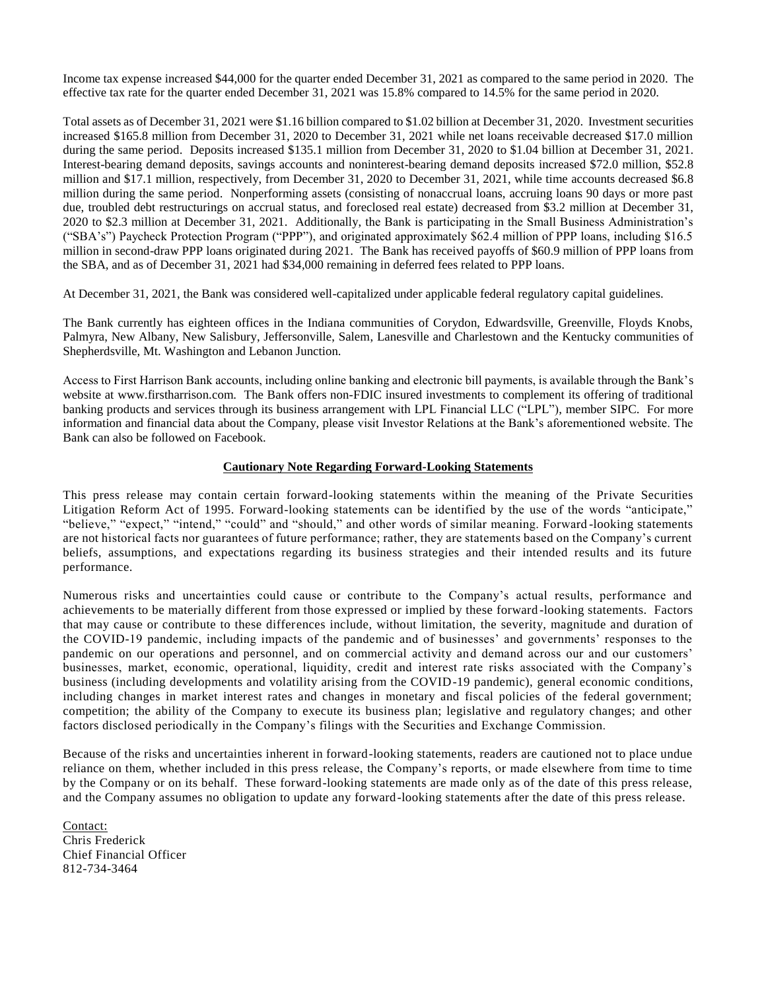Income tax expense increased \$44,000 for the quarter ended December 31, 2021 as compared to the same period in 2020. The effective tax rate for the quarter ended December 31, 2021 was 15.8% compared to 14.5% for the same period in 2020.

Total assets as of December 31, 2021 were \$1.16 billion compared to \$1.02 billion at December 31, 2020. Investment securities increased \$165.8 million from December 31, 2020 to December 31, 2021 while net loans receivable decreased \$17.0 million during the same period. Deposits increased \$135.1 million from December 31, 2020 to \$1.04 billion at December 31, 2021. Interest-bearing demand deposits, savings accounts and noninterest-bearing demand deposits increased \$72.0 million, \$52.8 million and \$17.1 million, respectively, from December 31, 2020 to December 31, 2021, while time accounts decreased \$6.8 million during the same period. Nonperforming assets (consisting of nonaccrual loans, accruing loans 90 days or more past due, troubled debt restructurings on accrual status, and foreclosed real estate) decreased from \$3.2 million at December 31, 2020 to \$2.3 million at December 31, 2021. Additionally, the Bank is participating in the Small Business Administration's ("SBA's") Paycheck Protection Program ("PPP"), and originated approximately \$62.4 million of PPP loans, including \$16.5 million in second-draw PPP loans originated during 2021. The Bank has received payoffs of \$60.9 million of PPP loans from the SBA, and as of December 31, 2021 had \$34,000 remaining in deferred fees related to PPP loans.

At December 31, 2021, the Bank was considered well-capitalized under applicable federal regulatory capital guidelines.

The Bank currently has eighteen offices in the Indiana communities of Corydon, Edwardsville, Greenville, Floyds Knobs, Palmyra, New Albany, New Salisbury, Jeffersonville, Salem, Lanesville and Charlestown and the Kentucky communities of Shepherdsville, Mt. Washington and Lebanon Junction.

Access to First Harrison Bank accounts, including online banking and electronic bill payments, is available through the Bank's website at www.firstharrison.com. The Bank offers non-FDIC insured investments to complement its offering of traditional banking products and services through its business arrangement with LPL Financial LLC ("LPL"), member SIPC. For more information and financial data about the Company, please visit Investor Relations at the Bank's aforementioned website. The Bank can also be followed on Facebook.

## **Cautionary Note Regarding Forward-Looking Statements**

This press release may contain certain forward-looking statements within the meaning of the Private Securities Litigation Reform Act of 1995. Forward-looking statements can be identified by the use of the words "anticipate," "believe," "expect," "intend," "could" and "should," and other words of similar meaning. Forward -looking statements are not historical facts nor guarantees of future performance; rather, they are statements based on the Company's current beliefs, assumptions, and expectations regarding its business strategies and their intended results and its future performance.

Numerous risks and uncertainties could cause or contribute to the Company's actual results, performance and achievements to be materially different from those expressed or implied by these forward -looking statements. Factors that may cause or contribute to these differences include, without limitation, the severity, magnitude and duration of the COVID-19 pandemic, including impacts of the pandemic and of businesses' and governments' responses to the pandemic on our operations and personnel, and on commercial activity and demand across our and our customers' businesses, market, economic, operational, liquidity, credit and interest rate risks associated with the Company's business (including developments and volatility arising from the COVID-19 pandemic), general economic conditions, including changes in market interest rates and changes in monetary and fiscal policies of the federal government; competition; the ability of the Company to execute its business plan; legislative and regulatory changes; and other factors disclosed periodically in the Company's filings with the Securities and Exchange Commission.

Because of the risks and uncertainties inherent in forward-looking statements, readers are cautioned not to place undue reliance on them, whether included in this press release, the Company's reports, or made elsewhere from time to time by the Company or on its behalf. These forward-looking statements are made only as of the date of this press release, and the Company assumes no obligation to update any forward-looking statements after the date of this press release.

Contact: Chris Frederick Chief Financial Officer 812-734-3464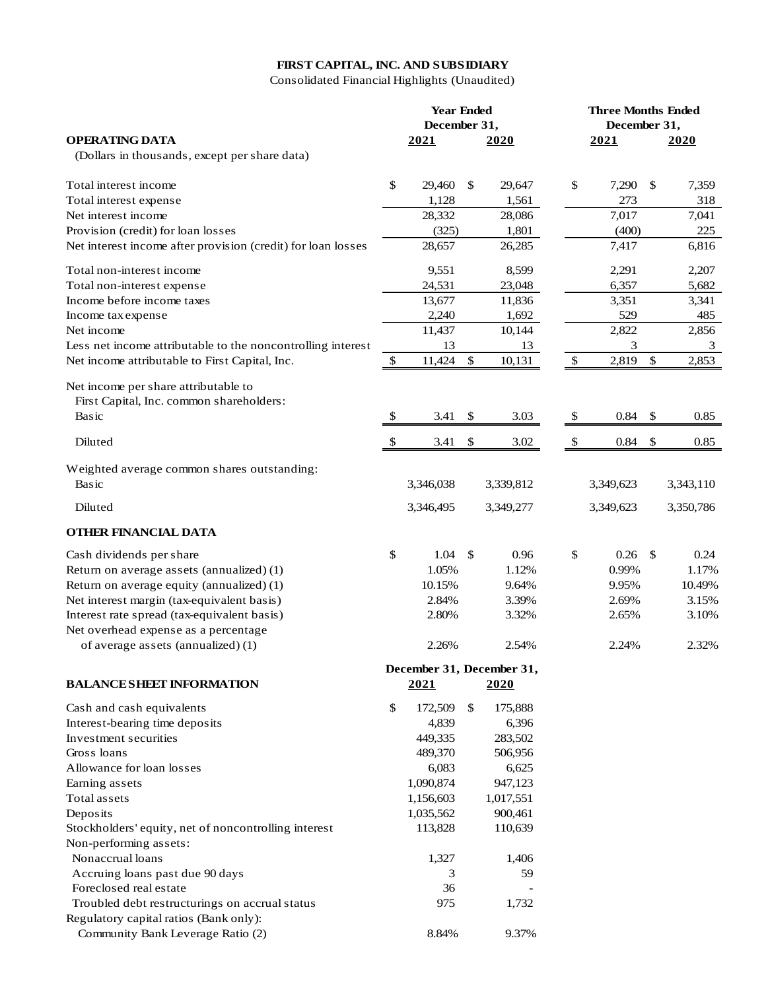## **FIRST CAPITAL, INC. AND SUBSIDIARY**

Consolidated Financial Highlights (Unaudited)

|                                                              | <b>Year Ended</b><br>December 31, |                           |                           |           | <b>Three Months Ended</b><br>December 31, |           |                           |           |  |
|--------------------------------------------------------------|-----------------------------------|---------------------------|---------------------------|-----------|-------------------------------------------|-----------|---------------------------|-----------|--|
| <b>OPERATING DATA</b>                                        |                                   | 2021                      |                           | 2020      |                                           | 2021      |                           | 2020      |  |
| (Dollars in thousands, except per share data)                |                                   |                           |                           |           |                                           |           |                           |           |  |
|                                                              |                                   |                           |                           |           |                                           |           |                           |           |  |
| Total interest income                                        | \$                                | 29,460                    | \$                        | 29,647    | \$                                        | 7,290     | \$                        | 7,359     |  |
| Total interest expense                                       |                                   | 1,128                     |                           | 1,561     |                                           | 273       |                           | 318       |  |
| Net interest income                                          |                                   | 28,332                    |                           | 28,086    |                                           | 7,017     |                           | 7,041     |  |
| Provision (credit) for loan losses                           |                                   | (325)                     |                           | 1,801     |                                           | (400)     |                           | 225       |  |
| Net interest income after provision (credit) for loan losses |                                   | 28,657                    |                           | 26,285    |                                           | 7,417     |                           | 6,816     |  |
|                                                              |                                   |                           |                           |           |                                           |           |                           |           |  |
| Total non-interest income                                    |                                   | 9,551                     |                           | 8,599     |                                           | 2,291     |                           | 2,207     |  |
| Total non-interest expense                                   |                                   | 24,531                    |                           | 23,048    |                                           | 6,357     |                           | 5,682     |  |
| Income before income taxes                                   |                                   | 13,677                    |                           | 11,836    |                                           | 3,351     |                           | 3,341     |  |
| Income tax expense                                           |                                   | 2,240                     |                           | 1,692     |                                           | 529       |                           | 485       |  |
| Net income                                                   |                                   | 11,437                    |                           | 10,144    |                                           | 2,822     |                           | 2,856     |  |
| Less net income attributable to the noncontrolling interest  |                                   | 13                        |                           | 13        |                                           | 3         |                           | 3         |  |
| Net income attributable to First Capital, Inc.               | $\$$                              | 11,424                    | $\boldsymbol{\mathsf{S}}$ | 10,131    | $\mathbb{S}$                              | 2,819     | $\mathcal{S}$             | 2,853     |  |
| Net income per share attributable to                         |                                   |                           |                           |           |                                           |           |                           |           |  |
| First Capital, Inc. common shareholders:                     |                                   |                           |                           |           |                                           |           |                           |           |  |
| Basic                                                        | \$                                | 3.41                      | \$                        | 3.03      | $\frac{1}{2}$                             | 0.84      | \$                        | 0.85      |  |
|                                                              |                                   |                           |                           |           |                                           |           |                           |           |  |
| Diluted                                                      | $\sqrt[6]{3}$                     | 3.41                      | \$                        | 3.02      | $\mathbb{S}$                              | 0.84      | $\boldsymbol{\mathsf{S}}$ | 0.85      |  |
| Weighted average common shares outstanding:                  |                                   |                           |                           |           |                                           |           |                           |           |  |
| Basic                                                        |                                   | 3,346,038                 |                           | 3,339,812 |                                           | 3,349,623 |                           | 3,343,110 |  |
|                                                              |                                   |                           |                           |           |                                           |           |                           |           |  |
| Diluted                                                      |                                   | 3,346,495                 |                           | 3,349,277 |                                           | 3,349,623 |                           | 3,350,786 |  |
| <b>OTHER FINANCIAL DATA</b>                                  |                                   |                           |                           |           |                                           |           |                           |           |  |
| Cash dividends per share                                     | \$                                | 1.04                      | $\mathcal{S}$             | 0.96      | \$                                        | 0.26      | \$                        | 0.24      |  |
| Return on average assets (annualized) (1)                    |                                   | 1.05%                     |                           | 1.12%     |                                           | 0.99%     |                           | 1.17%     |  |
| Return on average equity (annualized) (1)                    |                                   | 10.15%                    |                           | 9.64%     |                                           | 9.95%     |                           | 10.49%    |  |
| Net interest margin (tax-equivalent basis)                   |                                   | 2.84%                     |                           | 3.39%     |                                           | 2.69%     |                           | 3.15%     |  |
| Interest rate spread (tax-equivalent basis)                  |                                   | 2.80%                     |                           | 3.32%     |                                           | 2.65%     |                           | 3.10%     |  |
| Net overhead expense as a percentage                         |                                   |                           |                           |           |                                           |           |                           |           |  |
| of average assets (annualized) (1)                           |                                   | 2.26%                     |                           | 2.54%     |                                           | 2.24%     |                           | 2.32%     |  |
|                                                              |                                   | December 31, December 31, |                           |           |                                           |           |                           |           |  |
| <b>BALANCE SHEET INFORMATION</b>                             |                                   | 2021                      |                           | 2020      |                                           |           |                           |           |  |
|                                                              |                                   |                           |                           |           |                                           |           |                           |           |  |
| Cash and cash equivalents                                    | \$                                | 172,509                   | $\mathbb{S}$              | 175,888   |                                           |           |                           |           |  |
| Interest-bearing time deposits                               |                                   | 4,839                     |                           | 6,396     |                                           |           |                           |           |  |
| Investment securities                                        |                                   | 449,335                   |                           | 283,502   |                                           |           |                           |           |  |
| Gross loans                                                  |                                   | 489,370                   |                           | 506,956   |                                           |           |                           |           |  |
| Allowance for loan losses                                    |                                   | 6,083                     |                           | 6,625     |                                           |           |                           |           |  |
| Earning assets                                               |                                   | 1,090,874                 |                           | 947,123   |                                           |           |                           |           |  |
| Total assets                                                 |                                   | 1,156,603                 |                           | 1,017,551 |                                           |           |                           |           |  |
| Deposits                                                     |                                   | 1,035,562                 |                           | 900,461   |                                           |           |                           |           |  |
| Stockholders' equity, net of noncontrolling interest         |                                   | 113,828                   |                           | 110,639   |                                           |           |                           |           |  |
| Non-performing assets:                                       |                                   |                           |                           |           |                                           |           |                           |           |  |
| Nonaccrual loans                                             |                                   | 1,327                     |                           | 1,406     |                                           |           |                           |           |  |
| Accruing loans past due 90 days                              |                                   | 3                         |                           | 59        |                                           |           |                           |           |  |
| Foreclosed real estate                                       |                                   | 36                        |                           |           |                                           |           |                           |           |  |
| Troubled debt restructurings on accrual status               |                                   | 975                       |                           | 1,732     |                                           |           |                           |           |  |
| Regulatory capital ratios (Bank only):                       |                                   |                           |                           |           |                                           |           |                           |           |  |
| Community Bank Leverage Ratio (2)                            |                                   | 8.84%                     |                           | 9.37%     |                                           |           |                           |           |  |